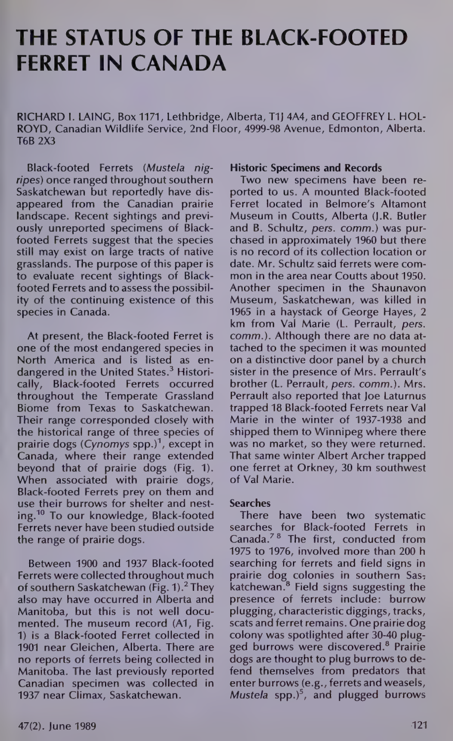# THE STATUS OF THE BLACK-FOOTED FERRET IN CANADA

RICHARD I. LAING, Box 1171, Lethbridge, Alberta, T1) 4A4, and GEOFFREY L. HOL-ROYD, Canadian Wildlife Service, 2nd Floor, 4999-98 Avenue, Edmonton, Alberta. T6B 2X3

Black-footed Ferrets (Mustela nigripes) once ranged throughout southern Saskatchewan but reportedly have disappeared from the Canadian prairie landscape. Recent sightings and previously unreported specimens of Blackfooted Ferrets suggest that the species still may exist on large tracts of native grasslands. The purpose of this paper is to evaluate recent sightings of Blackfooted Ferrets and to assess the possibility of the continuing existence of this species in Canada.

At present, the Black-footed Ferret is one of the most endangered species in North America and is listed as en dangered in the United States.<sup>3</sup> Historically, Black-footed Ferrets occurred throughout the Temperate Grassland Biome from Texas to Saskatchewan. Their range corresponded closely with the historical range of three species of prairie dogs (Cynomys spp.)', except in Canada, where their range extended beyond that of prairie dogs (Fig. 1). When associated with prairie dogs, Black-footed Ferrets prey on them and use their burrows for shelter and nesting.<sup>10</sup> To our knowledge, Black-footed Ferrets never have been studied outside the range of prairie dogs.

Between 1900 and 1937 Black-footed Ferrets were collected throughout much of southern Saskatchewan (Fig. 1). $<sup>2</sup>$  They</sup> also may have occurred in Alberta and Manitoba, but this is not well documented. The museum record (A1, Fig. 1) is a Black-footed Ferret collected in 1901 near Gleichen, Alberta. There are no reports of ferrets being collected in Manitoba. The last previously reported Canadian specimen was collected in 1937 near Climax, Saskatchewan.

#### Historic Specimens and Records

Two new specimens have been reported to us. A mounted Black-footed Ferret located in Belmore's Altamont Museum in Coutts, Alberta (J.R. Butler and B. Schultz, pers. comm.) was purchased in approximately 1960 but there is no record of its collection location or date. Mr. Schultz said ferrets were common in the area near Coutts about 1950. Another specimen in the Shaunavon Museum, Saskatchewan, was killed in 1965 in a haystack of George Hayes, 2 km from Val Marie (L. Perrault, pers. comm.). Although there are no data attached to the specimen it was mounted on a distinctive door panel by a church sister in the presence of Mrs. Perrault's brother (L. Perrault, pers. comm.). Mrs. Perrault also reported that Joe Laturnus trapped 18 Black-footed Ferrets near Val Marie in the winter of 1937-1938 and shipped them to Winnipeg where there was no market, so they were returned. That same winter Albert Archer trapped one ferret at Orkney, 30 km southwest of Val Marie.

### Searches

There have been two systematic searches for Black-footed Ferrets in Canada.<sup>78</sup> The first, conducted from 1975 to 1976, involved more than 200 h searching for ferrets and field signs in prairie dog colonies in southern Saskatchewan.® Field signs suggesting the presence of ferrets include: burrow plugging, characteristic diggings, tracks, scats and ferret remains. One prairie dog colony was spotlighted after 30-40 plugged burrows were discovered.® Prairie dogs are thought to plug burrows to defend themselves from predators that enter burrows (e.g., ferrets and weasels, Mustela spp. $)^5$ , and plugged burrows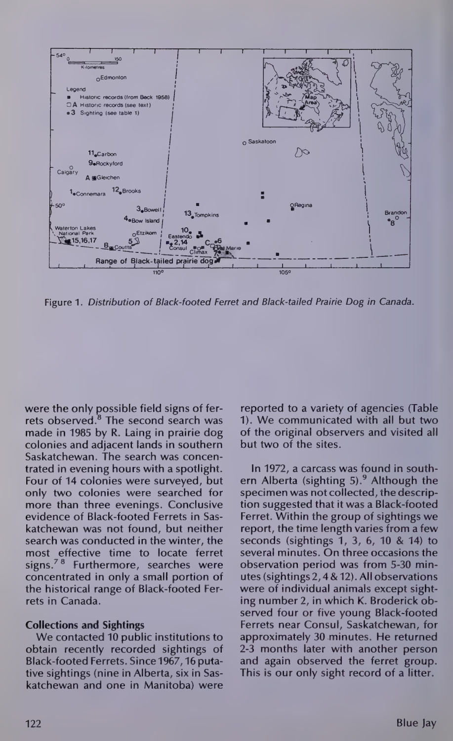

Figure 1. Distribution of Black-footed Ferret and Black-tailed Prairie Dog in Canada.

were the only possible field signs of ferrets observed.® The second search was made in 1985 by R. Laing in prairie dog colonies and adjacent lands in southern Saskatchewan. The search was concentrated in evening hours with a spotlight. Four of 14 colonies were surveyed, but only two colonies were searched for more than three evenings. Conclusive evidence of Black-footed Ferrets in Saskatchewan was not found, but neither search was conducted in the winter, the most effective time to locate ferret signs.<sup>78</sup> Furthermore, searches were concentrated in only a small portion of the historical range of Black-footed Ferrets in Canada.

## Collections and Sightings

We contacted 10 public institutions to obtain recently recorded sightings of Black-footed Ferrets. Since 1967, 16 putative sightings (nine in Alberta, six in Saskatchewan and one in Manitoba) were

reported to a variety of agencies (Table 1). We communicated with all but two of the original observers and visited all but two of the sites.

In 1972, a carcass was found in southern Alberta (sighting  $5$ ).<sup>9</sup> Although the specimen was not collected, the description suggested that it was a Black-footed Ferret. Within the group of sightings we report, the time length varies from a few seconds (sightings 1, 3, 6, 10 & 14) to several minutes. On three occasions the observation period was from 5-30 min-utes (sightings 2,4 & 12). Allobservations were of individual animals except sighting number 2, in which K. Broderick observed four or five young Black-footed Ferrets near Consul, Saskatchewan, for approximately 30 minutes. He returned 2-3 months later with another person and again observed the ferret group. This is our only sight record of a litter.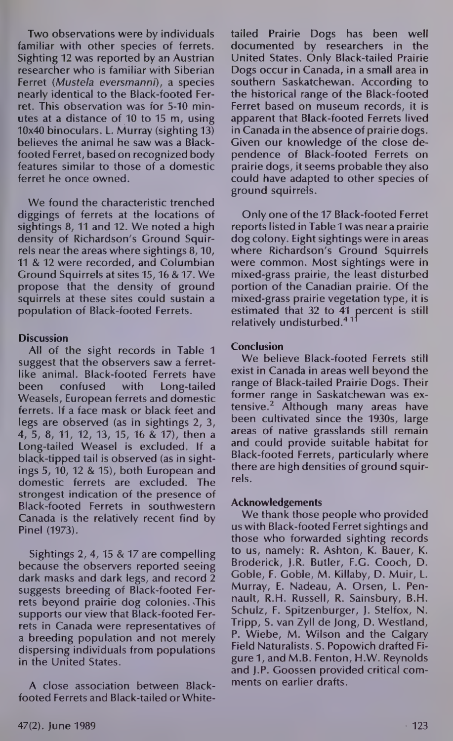Two observations were by individuals familiar with other species of ferrets. Sighting 12 was reported by an Austrian researcher who is familiar with Siberian Ferret (Mustela eversmanni), a species nearly identical to the Black-footed Ferret. This observation was for 5-10 minutes at a distance of 10 to 15 m, using 10x40 binoculars. L. Murray (sighting 13) believes the animal he saw was a Blackfooted Ferret, based on recognized body features similar to those of a domestic ferret he once owned.

We found the characteristic trenched diggings of ferrets at the locations of sightings 8, 11 and 12. We noted a high density of Richardson's Ground Squirrels near the areas where sightings 8, 10, 11 & 12 were recorded, and Columbian Ground Squirrels at sites 15, 16 & 17. We propose that the density of ground squirrels at these sites could sustain a population of Black-footed Ferrets.

### **Discussion**

All of the sight records in Table 1 suggest that the observers saw a ferretlike animal. Black-footed Ferrets have been confused with Long-tailed Weasels, European ferrets and domestic ferrets. If a face mask or black feet and legs are observed (as in sightings 2, 3, 4,5, 8, 11, 12, 13, 15, 16 & 17), then a Long-tailed Weasel is excluded. If a black-tipped tail is observed (as in sightings 5, 10, 12 & 15), both European and domestic ferrets are excluded. The strongest indication of the presence of Black-footed Ferrets in southwestern Canada is the relatively recent find by Pinel (1973).

Sightings 2, 4, 15 & 17 are compelling because the observers reported seeing dark masks and dark legs, and record 2 suggests breeding of Black-footed Ferrets beyond prairie dog colonies. .This supports our view that Black-footed Ferrets in Canada were representatives of a breeding population and not merely dispersing individuals from populations in the United States.

A close association between Blackfooted Ferrets and Black-tailed or Whitetailed Prairie Dogs has been well documented by researchers in the United States. Only Black-tailed Prairie Dogs occur in Canada, in a small area in southern Saskatchewan. According to the historical range of the Black-footed Ferret based on museum records, it is apparent that Black-footed Ferrets lived in Canada in the absence of prairie dogs. Given our knowledge of the close dependence of Black-footed Ferrets on prairie dogs, it seems probable they also could have adapted to other species of ground squirrels.

Only one of the 17 Black-footed Ferret reports listed in Table 1 was near a prairie dog colony. Eight sightings were in areas where Richardson's Ground Squirrels were common. Most sightings were in mixed-grass prairie, the least disturbed portion of the Canadian prairie. Of the mixed-grass prairie vegetation type, it is estimated that 32 to 41 percent is still relatively undisturbed.<sup>4 11</sup>

# Conclusion

We believe Black-footed Ferrets still exist in Canada in areas well beyond the range of Black-tailed Prairie Dogs. Their former range in Saskatchewan was extensive.2 Although many areas have been cultivated since the 1930s, large areas of native grasslands still remain and could provide suitable habitat for Black-footed Ferrets, particularly where there are high densities of ground squirrels.

### Acknowledgements

We thank those people who provided us with Black-footed Ferret sightings and those who forwarded sighting records to us, namely: R. Ashton, K. Bauer, K. Broderick, J.R. Butler, F.G. Cooch, D. Goble, F. Goble, M. Killaby, D. Muir, L. Murray, E. Nadeau, A. Orsen, L. Pennault, R.H. Russell, R. Sainsbury, B.H. Schulz, F. Spitzenburger, J. Stelfox, N. Tripp, S. van Zyll de Jong, D. Westland, P. Wiebe, M. Wilson and the Calgary Field Naturalists. S. Popowich drafted Figure 1, and M.B. Fenton, H.W. Reynolds and J.P. Goossen provided critical comments on earlier drafts.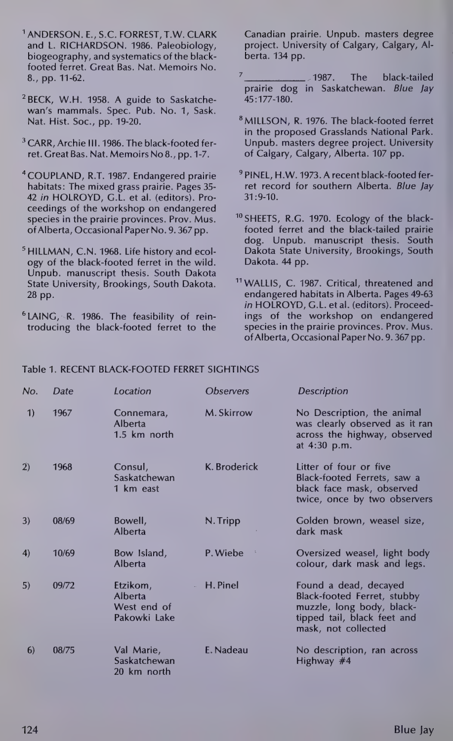- ANDERSON. E., S.C. FORREST, T.W. CLARK and L. RICHARDSON. 1986. Paleobiology, biogeography, and systematics of the blackfooted ferret. Great Bas. Nat. Memoirs No. 8., pp. 11-62.
- ?BECK, W.H. 1958. A guide to Saskatchewan's mammals. Spec. Pub. No. 1, Sask. Nat. Hist. Soc., pp. 19-20.
- <sup>3</sup> CARR, Archie III. 1986. The black-footed ferret. Great Bas. Nat. Memoirs No 8., pp. 1-7.
- \* COUPLAND, R.T. 1987. Endangered prairie habitats: The mixed grass prairie. Pages 35- 42 in HOLROYD, G.L. et al. (editors). Proceedings of the workshop on endangered species in the prairie provinces. Prov. Mus. of Alberta, Occasional Paper No. 9. 367 pp.
- <sup>5</sup> HILLMAN, C.N. 1968. Life history and ecology of the black-footed ferret in the wild. Unpub. manuscript thesis. South Dakota State University, Brookings, South Dakota. 28 pp.
- ®LAING, R. 1986. The feasibility of reintroducing the black-footed ferret to the

Canadian prairie. Unpub. masters degree project. University of Calgary, Calgary, Alberta. 134 pp.

- $\frac{7}{2}$  1987. The black-tailed prairie dog in Saskatchewan. Blue Jay 45:177-180.
- 8 MILLSON, R. 1976. The black-footed ferret in the proposed Grasslands National Park. Unpub. masters degree project. University of Calgary, Calgary, Alberta. 107 pp.
- 9 PINEL, H.W. 1973. A recent black-footed ferret record for southern Alberta. Blue Jay 31:9-10.
- <sup>10</sup> SHEETS, R.G. 1970. Ecology of the blackfooted ferret and the black-tailed prairie dog. Unpub. manuscript thesis. South Dakota State University, Brookings, South Dakota. 44 pp.
- <sup>11</sup> WALLIS, C. 1987. Critical, threatened and endangered habitats in Alberta. Pages 49-63 in HOLROYD, G.L. et al. (editors). Proceedings of the workshop on endangered species in the prairie provinces. Prov. Mus. of Alberta, Occasional Paper No. 9. 367 pp.

#### Table 1. RECENT BLACK-FOOTED FERRET SIGHTINGS

| No. | Date  | Location                                           | <b>Observers</b> | <b>Description</b>                                                                                                                      |
|-----|-------|----------------------------------------------------|------------------|-----------------------------------------------------------------------------------------------------------------------------------------|
| 1)  | 1967  | Connemara,<br><b>Alberta</b><br>1.5 km north       | M. Skirrow       | No Description, the animal<br>was clearly observed as it ran<br>across the highway, observed<br>at 4:30 p.m.                            |
| 2)  | 1968  | Consul,<br>Saskatchewan<br>1 km east               | K. Broderick     | Litter of four or five<br>Black-footed Ferrets, saw a<br>black face mask, observed<br>twice, once by two observers                      |
| 3)  | 08/69 | Bowell,<br><b>Alberta</b>                          | N. Tripp         | Golden brown, weasel size,<br>dark mask                                                                                                 |
| 4)  | 10/69 | Bow Island,<br><b>Alberta</b>                      | P. Wiebe         | Oversized weasel, light body<br>colour, dark mask and legs.                                                                             |
| 5)  | 09/72 | Etzikom,<br>Alberta<br>West end of<br>Pakowki Lake | - H. Pinel       | Found a dead, decayed<br>Black-footed Ferret, stubby<br>muzzle, long body, black-<br>tipped tail, black feet and<br>mask, not collected |
| 6)  | 08/75 | Val Marie,<br>Saskatchewan<br>20 km north          | E. Nadeau        | No description, ran across<br>Highway $#4$                                                                                              |